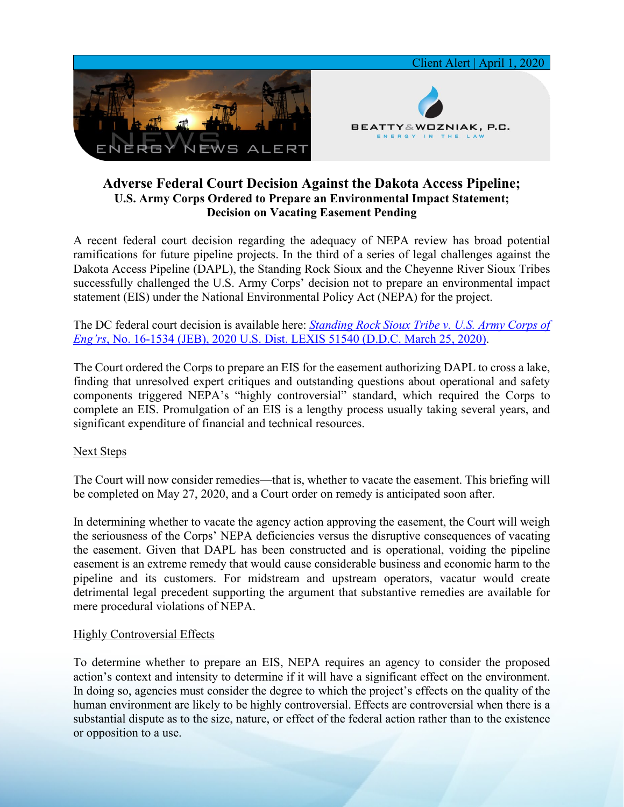

## **Adverse Federal Court Decision Against the Dakota Access Pipeline; U.S. Army Corps Ordered to Prepare an Environmental Impact Statement; Decision on Vacating Easement Pending**

A recent federal court decision regarding the adequacy of NEPA review has broad potential ramifications for future pipeline projects. In the third of a series of legal challenges against the Dakota Access Pipeline (DAPL), the Standing Rock Sioux and the Cheyenne River Sioux Tribes successfully challenged the U.S. Army Corps' decision not to prepare an environmental impact statement (EIS) under the National Environmental Policy Act (NEPA) for the project.

The DC federal court decision is available here: *[Standing Rock Sioux Tribe v. U.S. Army Corps of](https://7786d557-4329-4d99-be6b-ee891e97ad6a.filesusr.com/ugd/368105_2a11f06a545945fea2e6a60bed0b6f2c.pdf)  Eng'rs*[, No. 16-1534 \(JEB\), 2020 U.S. Dist. LEXIS 51540 \(D.D.C. March 25, 2020\).](https://7786d557-4329-4d99-be6b-ee891e97ad6a.filesusr.com/ugd/368105_2a11f06a545945fea2e6a60bed0b6f2c.pdf)

The Court ordered the Corps to prepare an EIS for the easement authorizing DAPL to cross a lake, finding that unresolved expert critiques and outstanding questions about operational and safety components triggered NEPA's "highly controversial" standard, which required the Corps to complete an EIS. Promulgation of an EIS is a lengthy process usually taking several years, and significant expenditure of financial and technical resources.

## Next Steps

The Court will now consider remedies—that is, whether to vacate the easement. This briefing will be completed on May 27, 2020, and a Court order on remedy is anticipated soon after.

In determining whether to vacate the agency action approving the easement, the Court will weigh the seriousness of the Corps' NEPA deficiencies versus the disruptive consequences of vacating the easement. Given that DAPL has been constructed and is operational, voiding the pipeline easement is an extreme remedy that would cause considerable business and economic harm to the pipeline and its customers. For midstream and upstream operators, vacatur would create detrimental legal precedent supporting the argument that substantive remedies are available for mere procedural violations of NEPA.

## Highly Controversial Effects

To determine whether to prepare an EIS, NEPA requires an agency to consider the proposed action's context and intensity to determine if it will have a significant effect on the environment. In doing so, agencies must consider the degree to which the project's effects on the quality of the human environment are likely to be highly controversial. Effects are controversial when there is a substantial dispute as to the size, nature, or effect of the federal action rather than to the existence or opposition to a use.